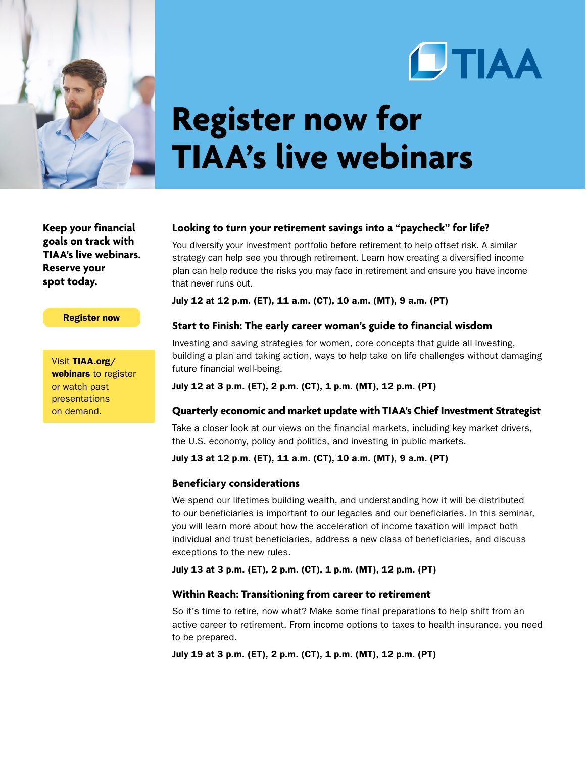



# **Register now for TIAA's live webinars**

**Keep your financial goals on track with TIAA's live webinars. Reserve your spot today.**

#### **Register now**

Visit [TIAA.org/](http://www.tiaa.org/webinars) [webinars](http://www.tiaa.org/webinars) to register or watch past presentations on demand.

#### **Looking to turn your retirement savings into a "paycheck" for life?**

You diversify your investment portfolio before retirement to help offset risk. A similar strategy can help see you through retirement. Learn how creating a diversified income plan can help reduce the risks you may face in retirement and ensure you have income that never runs out.

July 12 at 12 p.m. (ET), 11 a.m. (CT), 10 a.m. (MT), 9 a.m. (PT)

## **Start to Finish: The early career woman's guide to financial wisdom**

Investing and saving strategies for women, core concepts that guide all investing, building a plan and taking action, ways to help take on life challenges without damaging future financial well-being.

July 12 at 3 p.m. (ET), 2 p.m. (CT), 1 p.m. (MT), 12 p.m. (PT)

#### **Quarterly economic and market update with TIAA's Chief Investment Strategist**

Take a closer look at our views on the financial markets, including key market drivers, the U.S. economy, policy and politics, and investing in public markets.

July 13 at 12 p.m. (ET), 11 a.m. (CT), 10 a.m. (MT), 9 a.m. (PT)

#### **Beneficiary considerations**

We spend our lifetimes building wealth, and understanding how it will be distributed to our beneficiaries is important to our legacies and our beneficiaries. In this seminar, you will learn more about how the acceleration of income taxation will impact both individual and trust beneficiaries, address a new class of beneficiaries, and discuss exceptions to the new rules.

July 13 at 3 p.m. (ET), 2 p.m. (CT), 1 p.m. (MT), 12 p.m. (PT)

## **Within Reach: Transitioning from career to retirement**

So it's time to retire, now what? Make some final preparations to help shift from an active career to retirement. From income options to taxes to health insurance, you need to be prepared.

July 19 at 3 p.m. (ET), 2 p.m. (CT), 1 p.m. (MT), 12 p.m. (PT)